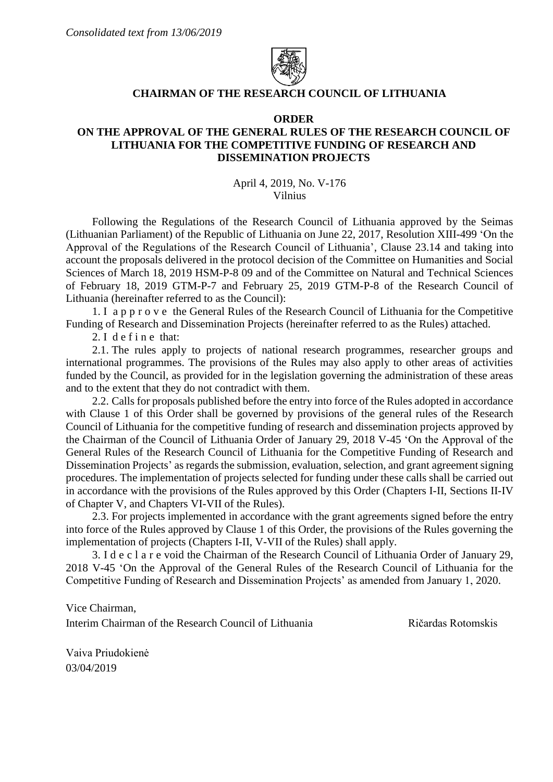

## **CHAIRMAN OF THE RESEARCH COUNCIL OF LITHUANIA**

#### **ORDER**

# **ON THE APPROVAL OF THE GENERAL RULES OF THE RESEARCH COUNCIL OF LITHUANIA FOR THE COMPETITIVE FUNDING OF RESEARCH AND DISSEMINATION PROJECTS**

April 4, 2019, No. V-176 Vilnius

Following the Regulations of the Research Council of Lithuania approved by the Seimas (Lithuanian Parliament) of the Republic of Lithuania on June 22, 2017, Resolution XIII-499 'On the Approval of the Regulations of the Research Council of Lithuania', Clause 23.14 and taking into account the proposals delivered in the protocol decision of the Committee on Humanities and Social Sciences of March 18, 2019 HSM-P-8 09 and of the Committee on Natural and Technical Sciences of February 18, 2019 GTM-P-7 and February 25, 2019 GTM-P-8 of the Research Council of Lithuania (hereinafter referred to as the Council):

1. I a p p r o v e the General Rules of the Research Council of Lithuania for the Competitive Funding of Research and Dissemination Projects (hereinafter referred to as the Rules) attached.

2. I define that:

2.1. The rules apply to projects of national research programmes, researcher groups and international programmes. The provisions of the Rules may also apply to other areas of activities funded by the Council, as provided for in the legislation governing the administration of these areas and to the extent that they do not contradict with them.

2.2. Calls for proposals published before the entry into force of the Rules adopted in accordance with Clause 1 of this Order shall be governed by provisions of the general rules of the Research Council of Lithuania for the competitive funding of research and dissemination projects approved by the Chairman of the Council of Lithuania Order of January 29, 2018 V-45 'On the Approval of the General Rules of the Research Council of Lithuania for the Competitive Funding of Research and Dissemination Projects' as regards the submission, evaluation, selection, and grant agreement signing procedures. The implementation of projects selected for funding under these calls shall be carried out in accordance with the provisions of the Rules approved by this Order (Chapters I-II, Sections II-IV of Chapter V, and Chapters VI-VII of the Rules).

2.3. For projects implemented in accordance with the grant agreements signed before the entry into force of the Rules approved by Clause 1 of this Order, the provisions of the Rules governing the implementation of projects (Chapters I-II, V-VII of the Rules) shall apply.

3. I d e c l a r e void the Chairman of the Research Council of Lithuania Order of January 29, 2018 V-45 'On the Approval of the General Rules of the Research Council of Lithuania for the Competitive Funding of Research and Dissemination Projects' as amended from January 1, 2020.

Vice Chairman,

Interim Chairman of the Research Council of Lithuania Ričardas Rotomskis

Vaiva Priudokienė 03/04/2019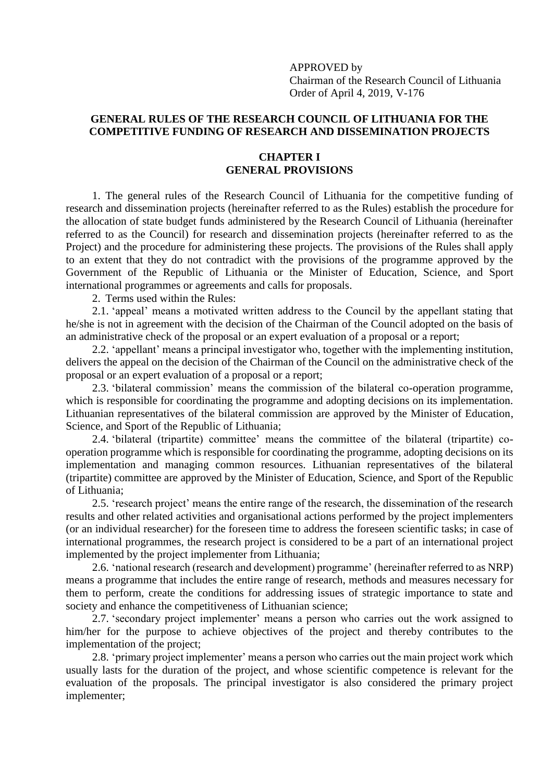APPROVED by Chairman of the Research Council of Lithuania Order of April 4, 2019, V-176

# **GENERAL RULES OF THE RESEARCH COUNCIL OF LITHUANIA FOR THE COMPETITIVE FUNDING OF RESEARCH AND DISSEMINATION PROJECTS**

## **CHAPTER I GENERAL PROVISIONS**

1. The general rules of the Research Council of Lithuania for the competitive funding of research and dissemination projects (hereinafter referred to as the Rules) establish the procedure for the allocation of state budget funds administered by the Research Council of Lithuania (hereinafter referred to as the Council) for research and dissemination projects (hereinafter referred to as the Project) and the procedure for administering these projects. The provisions of the Rules shall apply to an extent that they do not contradict with the provisions of the programme approved by the Government of the Republic of Lithuania or the Minister of Education, Science, and Sport international programmes or agreements and calls for proposals.

2. Terms used within the Rules:

2.1. 'appeal' means a motivated written address to the Council by the appellant stating that he/she is not in agreement with the decision of the Chairman of the Council adopted on the basis of an administrative check of the proposal or an expert evaluation of a proposal or a report;

2.2. 'appellant' means a principal investigator who, together with the implementing institution, delivers the appeal on the decision of the Chairman of the Council on the administrative check of the proposal or an expert evaluation of a proposal or a report;

2.3. 'bilateral commission' means the commission of the bilateral co-operation programme, which is responsible for coordinating the programme and adopting decisions on its implementation. Lithuanian representatives of the bilateral commission are approved by the Minister of Education, Science, and Sport of the Republic of Lithuania;

2.4. 'bilateral (tripartite) committee' means the committee of the bilateral (tripartite) cooperation programme which is responsible for coordinating the programme, adopting decisions on its implementation and managing common resources. Lithuanian representatives of the bilateral (tripartite) committee are approved by the Minister of Education, Science, and Sport of the Republic of Lithuania;

2.5. 'research project' means the entire range of the research, the dissemination of the research results and other related activities and organisational actions performed by the project implementers (or an individual researcher) for the foreseen time to address the foreseen scientific tasks; in case of international programmes, the research project is considered to be a part of an international project implemented by the project implementer from Lithuania;

2.6. 'national research (research and development) programme' (hereinafter referred to as NRP) means a programme that includes the entire range of research, methods and measures necessary for them to perform, create the conditions for addressing issues of strategic importance to state and society and enhance the competitiveness of Lithuanian science;

2.7. 'secondary project implementer' means a person who carries out the work assigned to him/her for the purpose to achieve objectives of the project and thereby contributes to the implementation of the project;

2.8. 'primary project implementer' means a person who carries out the main project work which usually lasts for the duration of the project, and whose scientific competence is relevant for the evaluation of the proposals. The principal investigator is also considered the primary project implementer;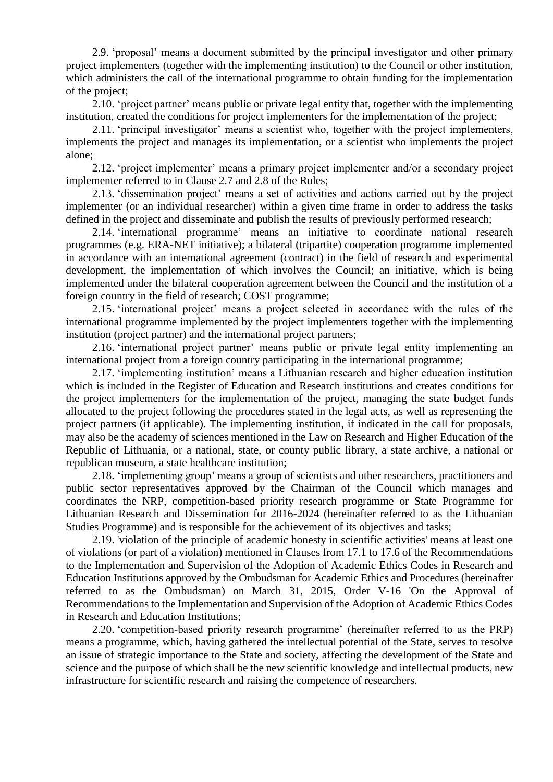2.9. 'proposal' means a document submitted by the principal investigator and other primary project implementers (together with the implementing institution) to the Council or other institution, which administers the call of the international programme to obtain funding for the implementation of the project;

2.10. 'project partner' means public or private legal entity that, together with the implementing institution, created the conditions for project implementers for the implementation of the project;

2.11. 'principal investigator' means a scientist who, together with the project implementers, implements the project and manages its implementation, or a scientist who implements the project alone;

2.12. 'project implementer' means a primary project implementer and/or a secondary project implementer referred to in Clause 2.7 and 2.8 of the Rules;

2.13. 'dissemination project' means a set of activities and actions carried out by the project implementer (or an individual researcher) within a given time frame in order to address the tasks defined in the project and disseminate and publish the results of previously performed research;

2.14. 'international programme' means an initiative to coordinate national research programmes (e.g. ERA-NET initiative); a bilateral (tripartite) cooperation programme implemented in accordance with an international agreement (contract) in the field of research and experimental development, the implementation of which involves the Council; an initiative, which is being implemented under the bilateral cooperation agreement between the Council and the institution of a foreign country in the field of research; COST programme;

2.15. 'international project' means a project selected in accordance with the rules of the international programme implemented by the project implementers together with the implementing institution (project partner) and the international project partners;

2.16. 'international project partner' means public or private legal entity implementing an international project from a foreign country participating in the international programme;

2.17. 'implementing institution' means a Lithuanian research and higher education institution which is included in the Register of Education and Research institutions and creates conditions for the project implementers for the implementation of the project, managing the state budget funds allocated to the project following the procedures stated in the legal acts, as well as representing the project partners (if applicable). The implementing institution, if indicated in the call for proposals, may also be the academy of sciences mentioned in the Law on Research and Higher Education of the Republic of Lithuania, or a national, state, or county public library, a state archive, a national or republican museum, a state healthcare institution;

2.18. 'implementing group' means a group of scientists and other researchers, practitioners and public sector representatives approved by the Chairman of the Council which manages and coordinates the NRP, competition-based priority research programme or State Programme for Lithuanian Research and Dissemination for 2016-2024 (hereinafter referred to as the Lithuanian Studies Programme) and is responsible for the achievement of its objectives and tasks;

2.19. 'violation of the principle of academic honesty in scientific activities' means at least one of violations (or part of a violation) mentioned in Clauses from 17.1 to 17.6 of the Recommendations to the Implementation and Supervision of the Adoption of Academic Ethics Codes in Research and Education Institutions approved by the Ombudsman for Academic Ethics and Procedures (hereinafter referred to as the Ombudsman) on March 31, 2015, Order V-16 'On the Approval of Recommendations to the Implementation and Supervision of the Adoption of Academic Ethics Codes in Research and Education Institutions;

2.20. 'competition-based priority research programme' (hereinafter referred to as the PRP) means a programme, which, having gathered the intellectual potential of the State, serves to resolve an issue of strategic importance to the State and society, affecting the development of the State and science and the purpose of which shall be the new scientific knowledge and intellectual products, new infrastructure for scientific research and raising the competence of researchers.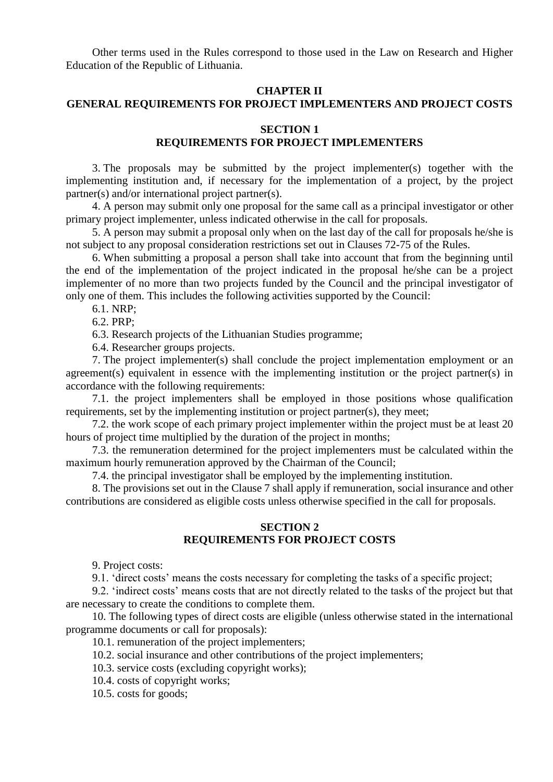Other terms used in the Rules correspond to those used in the Law on Research and Higher Education of the Republic of Lithuania.

#### **CHAPTER II**

## **GENERAL REQUIREMENTS FOR PROJECT IMPLEMENTERS AND PROJECT COSTS**

## **SECTION 1**

# **REQUIREMENTS FOR PROJECT IMPLEMENTERS**

3. The proposals may be submitted by the project implementer(s) together with the implementing institution and, if necessary for the implementation of a project, by the project partner(s) and/or international project partner(s).

4. A person may submit only one proposal for the same call as a principal investigator or other primary project implementer, unless indicated otherwise in the call for proposals.

5. A person may submit a proposal only when on the last day of the call for proposals he/she is not subject to any proposal consideration restrictions set out in Clauses 72-75 of the Rules.

6. When submitting a proposal a person shall take into account that from the beginning until the end of the implementation of the project indicated in the proposal he/she can be a project implementer of no more than two projects funded by the Council and the principal investigator of only one of them. This includes the following activities supported by the Council:

6.1. NRP;

6.2. PRP;

6.3. Research projects of the Lithuanian Studies programme;

6.4. Researcher groups projects.

7. The project implementer(s) shall conclude the project implementation employment or an agreement(s) equivalent in essence with the implementing institution or the project partner(s) in accordance with the following requirements:

7.1. the project implementers shall be employed in those positions whose qualification requirements, set by the implementing institution or project partner(s), they meet;

7.2. the work scope of each primary project implementer within the project must be at least 20 hours of project time multiplied by the duration of the project in months;

7.3. the remuneration determined for the project implementers must be calculated within the maximum hourly remuneration approved by the Chairman of the Council;

7.4. the principal investigator shall be employed by the implementing institution.

8. The provisions set out in the Clause 7 shall apply if remuneration, social insurance and other contributions are considered as eligible costs unless otherwise specified in the call for proposals.

## **SECTION 2 REQUIREMENTS FOR PROJECT COSTS**

9. Project costs:

9.1. 'direct costs' means the costs necessary for completing the tasks of a specific project;

9.2. 'indirect costs' means costs that are not directly related to the tasks of the project but that are necessary to create the conditions to complete them.

10. The following types of direct costs are eligible (unless otherwise stated in the international programme documents or call for proposals):

10.1. remuneration of the project implementers;

10.2. social insurance and other contributions of the project implementers;

10.3. service costs (excluding copyright works);

10.4. costs of copyright works;

10.5. costs for goods;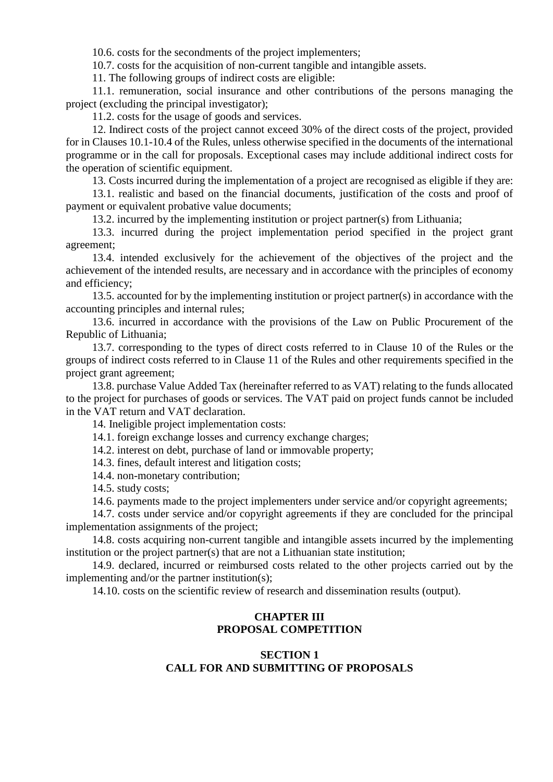10.6. costs for the secondments of the project implementers;

10.7. costs for the acquisition of non-current tangible and intangible assets.

11. The following groups of indirect costs are eligible:

11.1. remuneration, social insurance and other contributions of the persons managing the project (excluding the principal investigator);

11.2. costs for the usage of goods and services.

12. Indirect costs of the project cannot exceed 30% of the direct costs of the project, provided for in Clauses 10.1-10.4 of the Rules, unless otherwise specified in the documents of the international programme or in the call for proposals. Exceptional cases may include additional indirect costs for the operation of scientific equipment.

13. Costs incurred during the implementation of a project are recognised as eligible if they are:

13.1. realistic and based on the financial documents, justification of the costs and proof of payment or equivalent probative value documents;

13.2. incurred by the implementing institution or project partner(s) from Lithuania;

13.3. incurred during the project implementation period specified in the project grant agreement;

13.4. intended exclusively for the achievement of the objectives of the project and the achievement of the intended results, are necessary and in accordance with the principles of economy and efficiency;

13.5. accounted for by the implementing institution or project partner(s) in accordance with the accounting principles and internal rules;

13.6. incurred in accordance with the provisions of the Law on Public Procurement of the Republic of Lithuania;

13.7. corresponding to the types of direct costs referred to in Clause 10 of the Rules or the groups of indirect costs referred to in Clause 11 of the Rules and other requirements specified in the project grant agreement;

13.8. purchase Value Added Tax (hereinafter referred to as VAT) relating to the funds allocated to the project for purchases of goods or services. The VAT paid on project funds cannot be included in the VAT return and VAT declaration.

14. Ineligible project implementation costs:

14.1. foreign exchange losses and currency exchange charges;

14.2. interest on debt, purchase of land or immovable property;

14.3. fines, default interest and litigation costs;

14.4. non-monetary contribution;

14.5. study costs;

14.6. payments made to the project implementers under service and/or copyright agreements;

14.7. costs under service and/or copyright agreements if they are concluded for the principal implementation assignments of the project;

14.8. costs acquiring non-current tangible and intangible assets incurred by the implementing institution or the project partner(s) that are not a Lithuanian state institution;

14.9. declared, incurred or reimbursed costs related to the other projects carried out by the implementing and/or the partner institution(s);

14.10. costs on the scientific review of research and dissemination results (output).

# **CHAPTER III PROPOSAL COMPETITION**

# **SECTION 1 CALL FOR AND SUBMITTING OF PROPOSALS**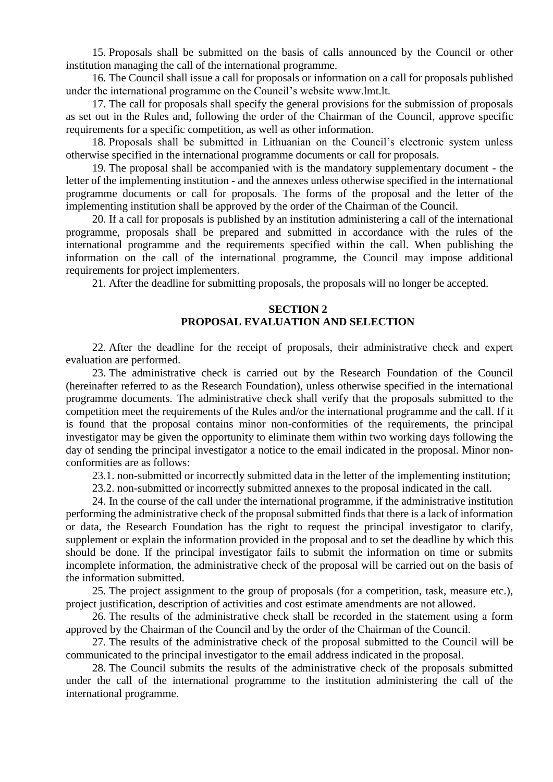15. Proposals shall be submitted on the basis of calls announced by the Council or other institution managing the call of the international programme.

16. The Council shall issue a call for proposals or information on a call for proposals published under the international programme on the Council's website www.lmt.lt.

17. The call for proposals shall specify the general provisions for the submission of proposals as set out in the Rules and, following the order of the Chairman of the Council, approve specific requirements for a specific competition, as well as other information.

18. Proposals shall be submitted in Lithuanian on the Council's electronic system unless otherwise specified in the international programme documents or call for proposals.

19. The proposal shall be accompanied with is the mandatory supplementary document - the letter of the implementing institution - and the annexes unless otherwise specified in the international programme documents or call for proposals. The forms of the proposal and the letter of the implementing institution shall be approved by the order of the Chairman of the Council.

20. If a call for proposals is published by an institution administering a call of the international programme, proposals shall be prepared and submitted in accordance with the rules of the international programme and the requirements specified within the call. When publishing the information on the call of the international programme, the Council may impose additional requirements for project implementers.

21. After the deadline for submitting proposals, the proposals will no longer be accepted.

## **SECTION 2 PROPOSAL EVALUATION AND SELECTION**

22. After the deadline for the receipt of proposals, their administrative check and expert evaluation are performed.

23. The administrative check is carried out by the Research Foundation of the Council (hereinafter referred to as the Research Foundation), unless otherwise specified in the international programme documents. The administrative check shall verify that the proposals submitted to the competition meet the requirements of the Rules and/or the international programme and the call. If it is found that the proposal contains minor non-conformities of the requirements, the principal investigator may be given the opportunity to eliminate them within two working days following the day of sending the principal investigator a notice to the email indicated in the proposal. Minor nonconformities are as follows:

23.1. non-submitted or incorrectly submitted data in the letter of the implementing institution;

23.2. non-submitted or incorrectly submitted annexes to the proposal indicated in the call.

24. In the course of the call under the international programme, if the administrative institution performing the administrative check of the proposal submitted finds that there is a lack of information or data, the Research Foundation has the right to request the principal investigator to clarify, supplement or explain the information provided in the proposal and to set the deadline by which this should be done. If the principal investigator fails to submit the information on time or submits incomplete information, the administrative check of the proposal will be carried out on the basis of the information submitted.

25. The project assignment to the group of proposals (for a competition, task, measure etc.), project justification, description of activities and cost estimate amendments are not allowed.

26. The results of the administrative check shall be recorded in the statement using a form approved by the Chairman of the Council and by the order of the Chairman of the Council.

27. The results of the administrative check of the proposal submitted to the Council will be communicated to the principal investigator to the email address indicated in the proposal.

28. The Council submits the results of the administrative check of the proposals submitted under the call of the international programme to the institution administering the call of the international programme.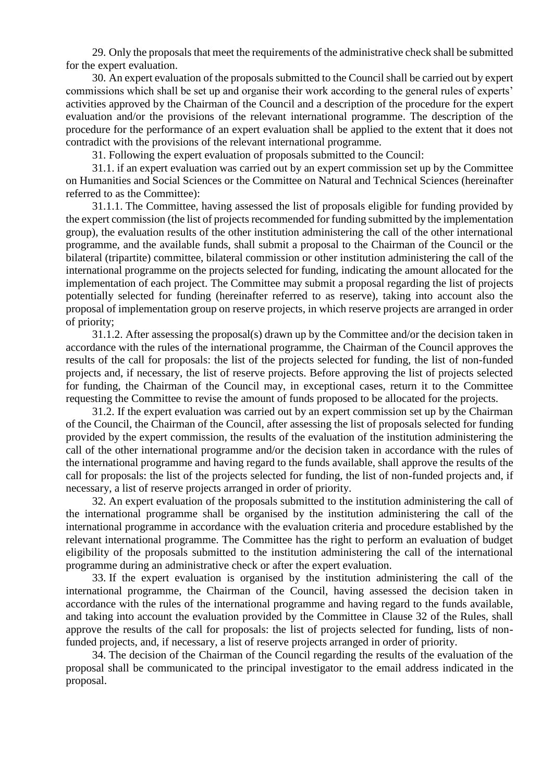29. Only the proposals that meet the requirements of the administrative check shall be submitted for the expert evaluation.

30. An expert evaluation of the proposals submitted to the Council shall be carried out by expert commissions which shall be set up and organise their work according to the general rules of experts' activities approved by the Chairman of the Council and a description of the procedure for the expert evaluation and/or the provisions of the relevant international programme. The description of the procedure for the performance of an expert evaluation shall be applied to the extent that it does not contradict with the provisions of the relevant international programme.

31. Following the expert evaluation of proposals submitted to the Council:

31.1. if an expert evaluation was carried out by an expert commission set up by the Committee on Humanities and Social Sciences or the Committee on Natural and Technical Sciences (hereinafter referred to as the Committee):

31.1.1. The Committee, having assessed the list of proposals eligible for funding provided by the expert commission (the list of projects recommended for funding submitted by the implementation group), the evaluation results of the other institution administering the call of the other international programme, and the available funds, shall submit a proposal to the Chairman of the Council or the bilateral (tripartite) committee, bilateral commission or other institution administering the call of the international programme on the projects selected for funding, indicating the amount allocated for the implementation of each project. The Committee may submit a proposal regarding the list of projects potentially selected for funding (hereinafter referred to as reserve), taking into account also the proposal of implementation group on reserve projects, in which reserve projects are arranged in order of priority;

31.1.2. After assessing the proposal(s) drawn up by the Committee and/or the decision taken in accordance with the rules of the international programme, the Chairman of the Council approves the results of the call for proposals: the list of the projects selected for funding, the list of non-funded projects and, if necessary, the list of reserve projects. Before approving the list of projects selected for funding, the Chairman of the Council may, in exceptional cases, return it to the Committee requesting the Committee to revise the amount of funds proposed to be allocated for the projects.

31.2. If the expert evaluation was carried out by an expert commission set up by the Chairman of the Council, the Chairman of the Council, after assessing the list of proposals selected for funding provided by the expert commission, the results of the evaluation of the institution administering the call of the other international programme and/or the decision taken in accordance with the rules of the international programme and having regard to the funds available, shall approve the results of the call for proposals: the list of the projects selected for funding, the list of non-funded projects and, if necessary, a list of reserve projects arranged in order of priority.

32. An expert evaluation of the proposals submitted to the institution administering the call of the international programme shall be organised by the institution administering the call of the international programme in accordance with the evaluation criteria and procedure established by the relevant international programme. The Committee has the right to perform an evaluation of budget eligibility of the proposals submitted to the institution administering the call of the international programme during an administrative check or after the expert evaluation.

33. If the expert evaluation is organised by the institution administering the call of the international programme, the Chairman of the Council, having assessed the decision taken in accordance with the rules of the international programme and having regard to the funds available, and taking into account the evaluation provided by the Committee in Clause 32 of the Rules, shall approve the results of the call for proposals: the list of projects selected for funding, lists of nonfunded projects, and, if necessary, a list of reserve projects arranged in order of priority.

34. The decision of the Chairman of the Council regarding the results of the evaluation of the proposal shall be communicated to the principal investigator to the email address indicated in the proposal.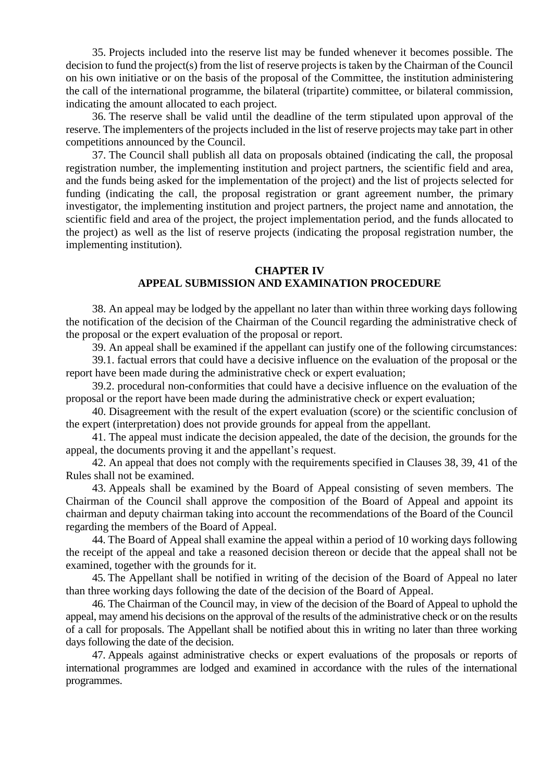35. Projects included into the reserve list may be funded whenever it becomes possible. The decision to fund the project(s) from the list of reserve projects is taken by the Chairman of the Council on his own initiative or on the basis of the proposal of the Committee, the institution administering the call of the international programme, the bilateral (tripartite) committee, or bilateral commission, indicating the amount allocated to each project.

36. The reserve shall be valid until the deadline of the term stipulated upon approval of the reserve. The implementers of the projects included in the list of reserve projects may take part in other competitions announced by the Council.

37. The Council shall publish all data on proposals obtained (indicating the call, the proposal registration number, the implementing institution and project partners, the scientific field and area, and the funds being asked for the implementation of the project) and the list of projects selected for funding (indicating the call, the proposal registration or grant agreement number, the primary investigator, the implementing institution and project partners, the project name and annotation, the scientific field and area of the project, the project implementation period, and the funds allocated to the project) as well as the list of reserve projects (indicating the proposal registration number, the implementing institution).

#### **CHAPTER IV APPEAL SUBMISSION AND EXAMINATION PROCEDURE**

38. An appeal may be lodged by the appellant no later than within three working days following the notification of the decision of the Chairman of the Council regarding the administrative check of the proposal or the expert evaluation of the proposal or report.

39. An appeal shall be examined if the appellant can justify one of the following circumstances:

39.1. factual errors that could have a decisive influence on the evaluation of the proposal or the report have been made during the administrative check or expert evaluation;

39.2. procedural non-conformities that could have a decisive influence on the evaluation of the proposal or the report have been made during the administrative check or expert evaluation;

40. Disagreement with the result of the expert evaluation (score) or the scientific conclusion of the expert (interpretation) does not provide grounds for appeal from the appellant.

41. The appeal must indicate the decision appealed, the date of the decision, the grounds for the appeal, the documents proving it and the appellant's request.

42. An appeal that does not comply with the requirements specified in Clauses 38, 39, 41 of the Rules shall not be examined.

43. Appeals shall be examined by the Board of Appeal consisting of seven members. The Chairman of the Council shall approve the composition of the Board of Appeal and appoint its chairman and deputy chairman taking into account the recommendations of the Board of the Council regarding the members of the Board of Appeal.

44. The Board of Appeal shall examine the appeal within a period of 10 working days following the receipt of the appeal and take a reasoned decision thereon or decide that the appeal shall not be examined, together with the grounds for it.

45. The Appellant shall be notified in writing of the decision of the Board of Appeal no later than three working days following the date of the decision of the Board of Appeal.

46. The Chairman of the Council may, in view of the decision of the Board of Appeal to uphold the appeal, may amend his decisions on the approval of the results of the administrative check or on the results of a call for proposals. The Appellant shall be notified about this in writing no later than three working days following the date of the decision.

47. Appeals against administrative checks or expert evaluations of the proposals or reports of international programmes are lodged and examined in accordance with the rules of the international programmes.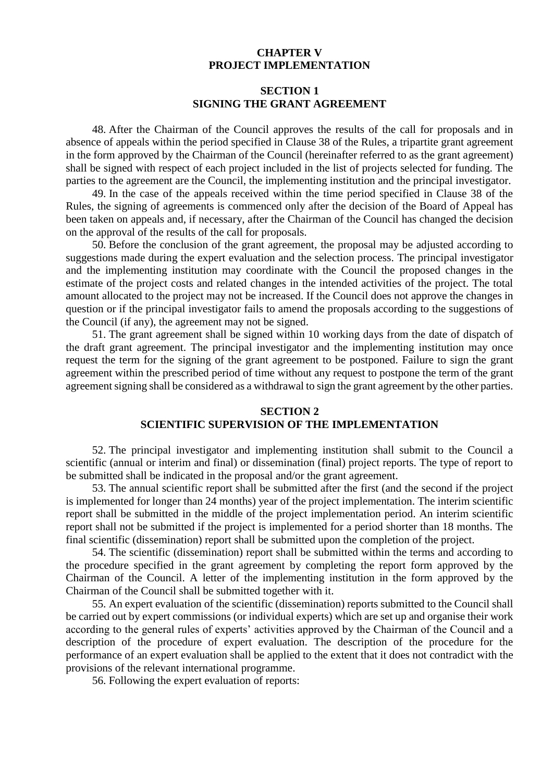### **CHAPTER V PROJECT IMPLEMENTATION**

## **SECTION 1 SIGNING THE GRANT AGREEMENT**

48. After the Chairman of the Council approves the results of the call for proposals and in absence of appeals within the period specified in Clause 38 of the Rules, a tripartite grant agreement in the form approved by the Chairman of the Council (hereinafter referred to as the grant agreement) shall be signed with respect of each project included in the list of projects selected for funding. The parties to the agreement are the Council, the implementing institution and the principal investigator.

49. In the case of the appeals received within the time period specified in Clause 38 of the Rules, the signing of agreements is commenced only after the decision of the Board of Appeal has been taken on appeals and, if necessary, after the Chairman of the Council has changed the decision on the approval of the results of the call for proposals.

50. Before the conclusion of the grant agreement, the proposal may be adjusted according to suggestions made during the expert evaluation and the selection process. The principal investigator and the implementing institution may coordinate with the Council the proposed changes in the estimate of the project costs and related changes in the intended activities of the project. The total amount allocated to the project may not be increased. If the Council does not approve the changes in question or if the principal investigator fails to amend the proposals according to the suggestions of the Council (if any), the agreement may not be signed.

51. The grant agreement shall be signed within 10 working days from the date of dispatch of the draft grant agreement. The principal investigator and the implementing institution may once request the term for the signing of the grant agreement to be postponed. Failure to sign the grant agreement within the prescribed period of time without any request to postpone the term of the grant agreement signing shall be considered as a withdrawal to sign the grant agreement by the other parties.

# **SECTION 2 SCIENTIFIC SUPERVISION OF THE IMPLEMENTATION**

52. The principal investigator and implementing institution shall submit to the Council a scientific (annual or interim and final) or dissemination (final) project reports. The type of report to be submitted shall be indicated in the proposal and/or the grant agreement.

53. The annual scientific report shall be submitted after the first (and the second if the project is implemented for longer than 24 months) year of the project implementation. The interim scientific report shall be submitted in the middle of the project implementation period. An interim scientific report shall not be submitted if the project is implemented for a period shorter than 18 months. The final scientific (dissemination) report shall be submitted upon the completion of the project.

54. The scientific (dissemination) report shall be submitted within the terms and according to the procedure specified in the grant agreement by completing the report form approved by the Chairman of the Council. A letter of the implementing institution in the form approved by the Chairman of the Council shall be submitted together with it.

55. An expert evaluation of the scientific (dissemination) reports submitted to the Council shall be carried out by expert commissions (or individual experts) which are set up and organise their work according to the general rules of experts' activities approved by the Chairman of the Council and a description of the procedure of expert evaluation. The description of the procedure for the performance of an expert evaluation shall be applied to the extent that it does not contradict with the provisions of the relevant international programme.

56. Following the expert evaluation of reports: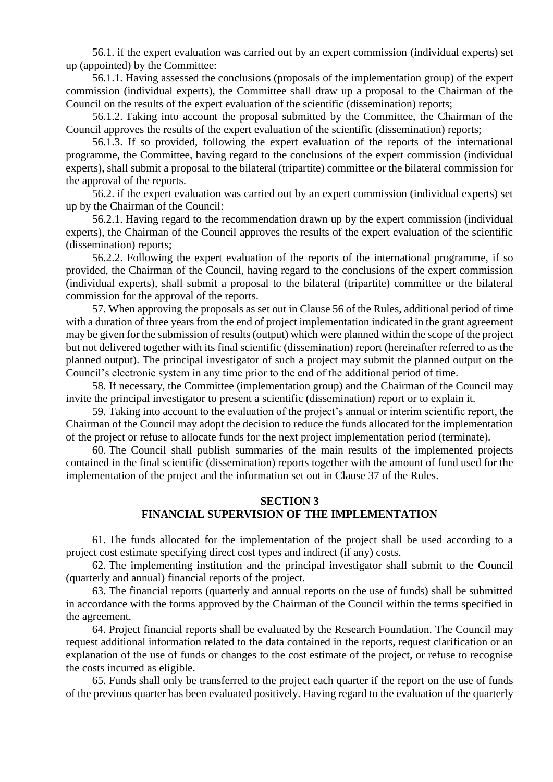56.1. if the expert evaluation was carried out by an expert commission (individual experts) set up (appointed) by the Committee:

56.1.1. Having assessed the conclusions (proposals of the implementation group) of the expert commission (individual experts), the Committee shall draw up a proposal to the Chairman of the Council on the results of the expert evaluation of the scientific (dissemination) reports;

56.1.2. Taking into account the proposal submitted by the Committee, the Chairman of the Council approves the results of the expert evaluation of the scientific (dissemination) reports;

56.1.3. If so provided, following the expert evaluation of the reports of the international programme, the Committee, having regard to the conclusions of the expert commission (individual experts), shall submit a proposal to the bilateral (tripartite) committee or the bilateral commission for the approval of the reports.

56.2. if the expert evaluation was carried out by an expert commission (individual experts) set up by the Chairman of the Council:

56.2.1. Having regard to the recommendation drawn up by the expert commission (individual experts), the Chairman of the Council approves the results of the expert evaluation of the scientific (dissemination) reports;

56.2.2. Following the expert evaluation of the reports of the international programme, if so provided, the Chairman of the Council, having regard to the conclusions of the expert commission (individual experts), shall submit a proposal to the bilateral (tripartite) committee or the bilateral commission for the approval of the reports.

57. When approving the proposals as set out in Clause 56 of the Rules, additional period of time with a duration of three years from the end of project implementation indicated in the grant agreement may be given for the submission of results (output) which were planned within the scope of the project but not delivered together with its final scientific (dissemination) report (hereinafter referred to as the planned output). The principal investigator of such a project may submit the planned output on the Council's electronic system in any time prior to the end of the additional period of time.

58. If necessary, the Committee (implementation group) and the Chairman of the Council may invite the principal investigator to present a scientific (dissemination) report or to explain it.

59. Taking into account to the evaluation of the project's annual or interim scientific report, the Chairman of the Council may adopt the decision to reduce the funds allocated for the implementation of the project or refuse to allocate funds for the next project implementation period (terminate).

60. The Council shall publish summaries of the main results of the implemented projects contained in the final scientific (dissemination) reports together with the amount of fund used for the implementation of the project and the information set out in Clause 37 of the Rules.

### **SECTION 3 FINANCIAL SUPERVISION OF THE IMPLEMENTATION**

61. The funds allocated for the implementation of the project shall be used according to a project cost estimate specifying direct cost types and indirect (if any) costs.

62. The implementing institution and the principal investigator shall submit to the Council (quarterly and annual) financial reports of the project.

63. The financial reports (quarterly and annual reports on the use of funds) shall be submitted in accordance with the forms approved by the Chairman of the Council within the terms specified in the agreement.

64. Project financial reports shall be evaluated by the Research Foundation. The Council may request additional information related to the data contained in the reports, request clarification or an explanation of the use of funds or changes to the cost estimate of the project, or refuse to recognise the costs incurred as eligible.

65. Funds shall only be transferred to the project each quarter if the report on the use of funds of the previous quarter has been evaluated positively. Having regard to the evaluation of the quarterly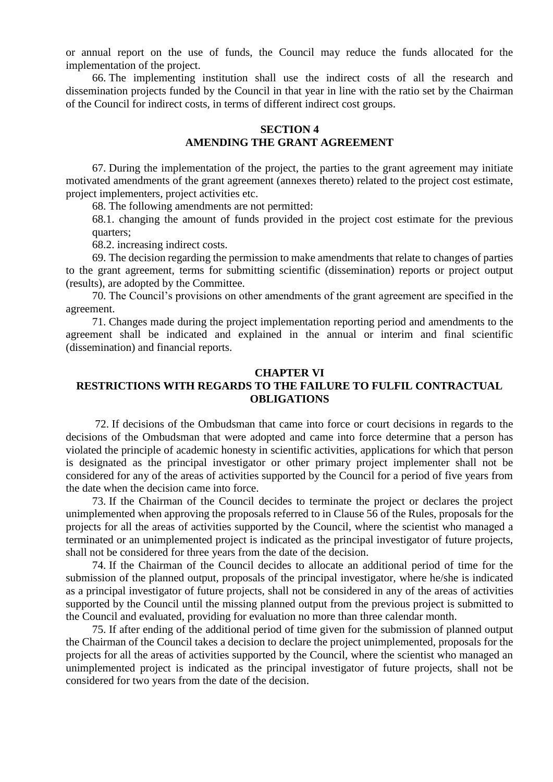or annual report on the use of funds, the Council may reduce the funds allocated for the implementation of the project.

66. The implementing institution shall use the indirect costs of all the research and dissemination projects funded by the Council in that year in line with the ratio set by the Chairman of the Council for indirect costs, in terms of different indirect cost groups.

### **SECTION 4 AMENDING THE GRANT AGREEMENT**

67. During the implementation of the project, the parties to the grant agreement may initiate motivated amendments of the grant agreement (annexes thereto) related to the project cost estimate, project implementers, project activities etc.

68. The following amendments are not permitted:

68.1. changing the amount of funds provided in the project cost estimate for the previous quarters;

68.2. increasing indirect costs.

69. The decision regarding the permission to make amendments that relate to changes of parties to the grant agreement, terms for submitting scientific (dissemination) reports or project output (results), are adopted by the Committee.

70. The Council's provisions on other amendments of the grant agreement are specified in the agreement.

71. Changes made during the project implementation reporting period and amendments to the agreement shall be indicated and explained in the annual or interim and final scientific (dissemination) and financial reports.

### **CHAPTER VI**

# **RESTRICTIONS WITH REGARDS TO THE FAILURE TO FULFIL CONTRACTUAL OBLIGATIONS**

72. If decisions of the Ombudsman that came into force or court decisions in regards to the decisions of the Ombudsman that were adopted and came into force determine that a person has violated the principle of academic honesty in scientific activities, applications for which that person is designated as the principal investigator or other primary project implementer shall not be considered for any of the areas of activities supported by the Council for a period of five years from the date when the decision came into force.

73. If the Chairman of the Council decides to terminate the project or declares the project unimplemented when approving the proposals referred to in Clause 56 of the Rules, proposals for the projects for all the areas of activities supported by the Council, where the scientist who managed a terminated or an unimplemented project is indicated as the principal investigator of future projects, shall not be considered for three years from the date of the decision.

74. If the Chairman of the Council decides to allocate an additional period of time for the submission of the planned output, proposals of the principal investigator, where he/she is indicated as a principal investigator of future projects, shall not be considered in any of the areas of activities supported by the Council until the missing planned output from the previous project is submitted to the Council and evaluated, providing for evaluation no more than three calendar month.

75. If after ending of the additional period of time given for the submission of planned output the Chairman of the Council takes a decision to declare the project unimplemented, proposals for the projects for all the areas of activities supported by the Council, where the scientist who managed an unimplemented project is indicated as the principal investigator of future projects, shall not be considered for two years from the date of the decision.